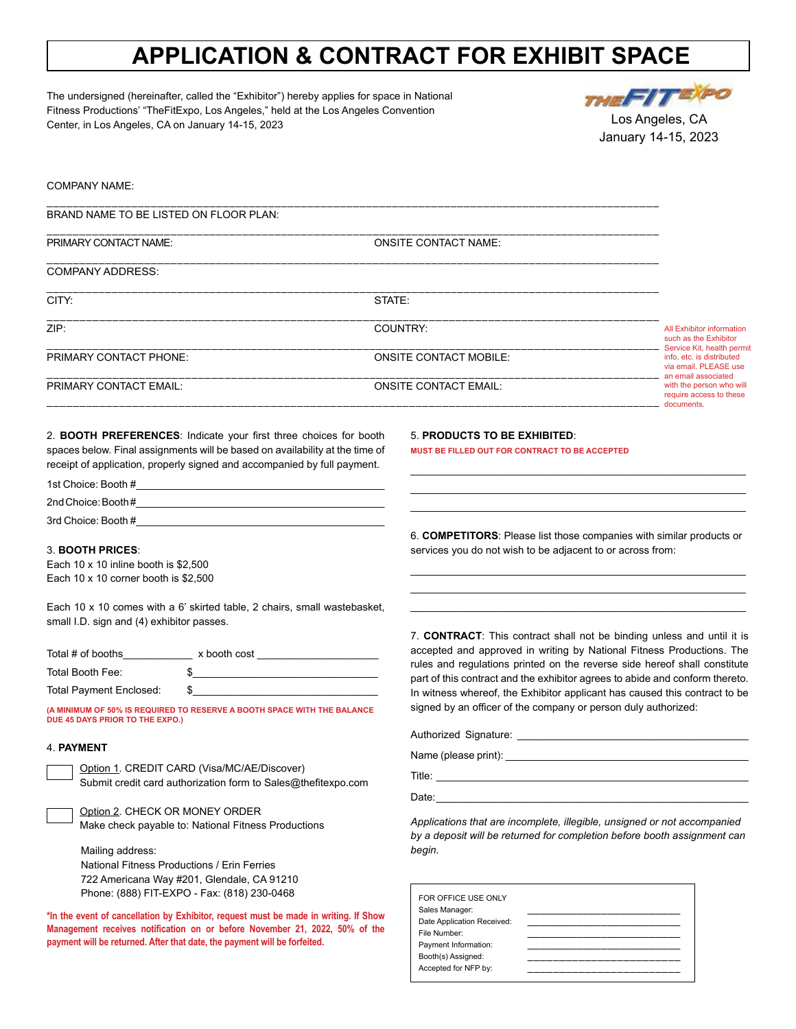# **APPLICATION & CONTRACT FOR EXHIBIT SPACE**

The undersigned (hereinafter, called the "Exhibitor") hereby applies for space in National Fitness Productions' "TheFitExpo, Los Angeles," held at the Los Angeles Convention Center, in Los Angeles, CA on January 14-15, 2023



Los Angeles, CA January 14-15, 2023

## COMPANY NAME:

BRAND NAME TO BE LISTED ON FLOOR PLAN:

| PRIMARY CONTACT NAME:   | <b>ONSITE CONTACT NAME:</b>   |                                                                                                         |  |
|-------------------------|-------------------------------|---------------------------------------------------------------------------------------------------------|--|
| <b>COMPANY ADDRESS:</b> |                               |                                                                                                         |  |
| CITY:                   | STATE:                        |                                                                                                         |  |
| ZIP:                    | COUNTRY:                      | <b>All Exhibitor information</b><br>such as the Exhibitor                                               |  |
| PRIMARY CONTACT PHONE:  | <b>ONSITE CONTACT MOBILE:</b> | Service Kit, health permit<br>info, etc. is distributed<br>via email. PLEASE use<br>an email associated |  |
| PRIMARY CONTACT EMAIL:  | <b>ONSITE CONTACT EMAIL:</b>  | with the person who will<br>require access to these<br>documents.                                       |  |
|                         |                               |                                                                                                         |  |

\_\_\_\_\_\_\_\_\_\_\_\_\_\_\_\_\_\_\_\_\_\_\_\_\_\_\_\_\_\_\_\_\_\_\_\_\_\_\_\_\_\_\_\_\_\_\_\_\_\_\_\_\_\_\_\_\_\_\_\_\_\_\_\_\_\_\_\_\_\_\_\_\_\_\_\_\_\_\_\_\_\_\_\_\_\_\_\_\_\_\_\_\_\_

2. **BOOTH PREFERENCES**: Indicate your first three choices for booth spaces below. Final assignments will be based on availability at the time of receipt of application, properly signed and accompanied by full payment.

# 1st Choice: Booth #\_\_\_\_\_\_\_\_\_\_\_\_\_\_\_\_\_\_\_\_\_\_\_\_\_\_\_\_\_\_\_\_\_\_\_\_\_\_\_\_\_\_\_ 2nd Choice: Booth#

3rd Choice: Booth #\_\_\_\_\_\_\_\_\_\_\_\_\_\_\_\_\_\_\_\_\_\_\_\_\_\_\_\_\_\_\_\_\_\_\_\_\_\_\_\_\_\_\_

#### 3. **BOOTH PRICES**:

Each 10 x 10 inline booth is \$2,500 Each 10 x 10 corner booth is \$2,500

Each 10 x 10 comes with a 6' skirted table, 2 chairs, small wastebasket, small I.D. sign and (4) exhibitor passes.

| Total # of booths              | x booth cost |  |
|--------------------------------|--------------|--|
| Total Booth Fee:               |              |  |
| <b>Total Payment Enclosed:</b> |              |  |

**(A MINIMUM OF 50% IS REQUIRED TO RESERVE A BOOTH SPACE WITH THE BALANCE DUE 45 DAYS PRIOR TO THE EXPO.)**

### 4. **PAYMENT**

Option 1. CREDIT CARD (Visa/MC/AE/Discover) Submit credit card authorization form to Sales@thefitexpo.com

Option 2. CHECK OR MONEY ORDER Make check payable to: National Fitness Productions

Mailing address: National Fitness Productions / Erin Ferries 722 Americana Way #201, Glendale, CA 91210 Phone: (888) FIT-EXPO - Fax: (818) 230-0468

**\*In the event of cancellation by Exhibitor, request must be made in writing. If Show Management receives notification on or before November 21, 2022, 50% of the payment will be returned. After that date, the payment will be forfeited.**

5. **PRODUCTS TO BE EXHIBITED**:

**MUST BE FILLED OUT FOR CONTRACT TO BE ACCEPTED**

6. **COMPETITORS**: Please list those companies with similar products or services you do not wish to be adjacent to or across from:

\_\_\_\_\_\_\_\_\_\_\_\_\_\_\_\_\_\_\_\_\_\_\_\_\_\_\_\_\_\_\_\_\_\_\_\_\_\_\_\_\_\_\_\_\_\_\_\_\_\_\_\_\_\_\_\_\_\_ \_\_\_\_\_\_\_\_\_\_\_\_\_\_\_\_\_\_\_\_\_\_\_\_\_\_\_\_\_\_\_\_\_\_\_\_\_\_\_\_\_\_\_\_\_\_\_\_\_\_\_\_\_\_\_\_\_\_ \_\_\_\_\_\_\_\_\_\_\_\_\_\_\_\_\_\_\_\_\_\_\_\_\_\_\_\_\_\_\_\_\_\_\_\_\_\_\_\_\_\_\_\_\_\_\_\_\_\_\_\_\_\_\_\_\_\_

\_\_\_\_\_\_\_\_\_\_\_\_\_\_\_\_\_\_\_\_\_\_\_\_\_\_\_\_\_\_\_\_\_\_\_\_\_\_\_\_\_\_\_\_\_\_\_\_\_\_\_\_\_\_\_\_\_\_ \_\_\_\_\_\_\_\_\_\_\_\_\_\_\_\_\_\_\_\_\_\_\_\_\_\_\_\_\_\_\_\_\_\_\_\_\_\_\_\_\_\_\_\_\_\_\_\_\_\_\_\_\_\_\_\_\_\_ \_\_\_\_\_\_\_\_\_\_\_\_\_\_\_\_\_\_\_\_\_\_\_\_\_\_\_\_\_\_\_\_\_\_\_\_\_\_\_\_\_\_\_\_\_\_\_\_\_\_\_\_\_\_\_\_\_\_

7. **CONTRACT**: This contract shall not be binding unless and until it is accepted and approved in writing by National Fitness Productions. The rules and regulations printed on the reverse side hereof shall constitute part of this contract and the exhibitor agrees to abide and conform thereto. In witness whereof, the Exhibitor applicant has caused this contract to be signed by an officer of the company or person duly authorized:

| Authorized Signature: |  |
|-----------------------|--|
| Name (please print):  |  |

Title: \_\_\_\_\_\_\_\_\_\_\_\_\_\_\_\_\_\_\_\_\_\_\_\_\_\_\_\_\_\_\_\_\_\_\_\_\_\_\_\_\_\_\_\_\_\_\_\_\_\_\_\_\_\_

Date: \_\_\_\_\_\_\_\_\_\_\_\_\_\_\_\_\_\_\_\_\_\_\_\_\_\_\_\_\_\_\_\_\_\_\_\_\_\_\_\_\_\_\_\_\_\_\_\_\_\_\_\_\_\_

*Applications that are incomplete, illegible, unsigned or not accompanied by a deposit will be returned for completion before booth assignment can begin.*

| FOR OFFICE USE ONLY        |  |
|----------------------------|--|
| Sales Manager:             |  |
| Date Application Received: |  |
| File Number:               |  |
| Payment Information:       |  |
| Booth(s) Assigned:         |  |
| Accepted for NFP by:       |  |